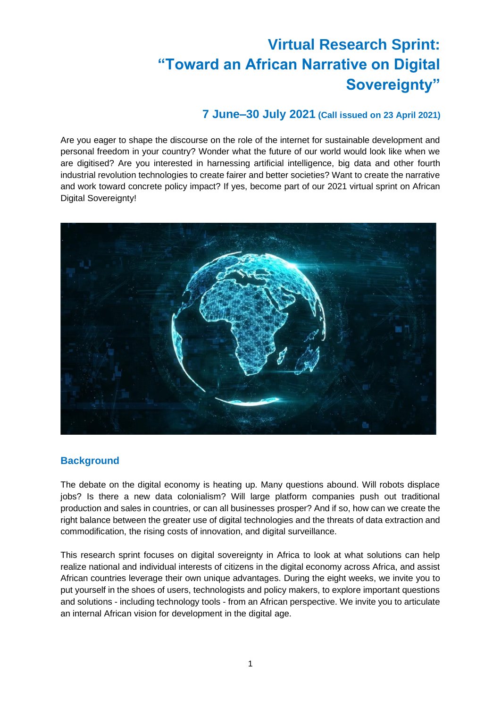# **Virtual Research Sprint: "Toward an African Narrative on Digital Sovereignty"**

## **7 June–30 July 2021 (Call issued on 23 April 2021)**

Are you eager to shape the discourse on the role of the internet for sustainable development and personal freedom in your country? Wonder what the future of our world would look like when we are digitised? Are you interested in harnessing artificial intelligence, big data and other fourth industrial revolution technologies to create fairer and better societies? Want to create the narrative and work toward concrete policy impact? If yes, become part of our 2021 virtual sprint on African Digital Sovereignty!



## **Background**

The debate on the digital economy is heating up. Many questions abound. Will robots displace jobs? Is there a new data colonialism? Will large platform companies push out traditional production and sales in countries, or can all businesses prosper? And if so, how can we create the right balance between the greater use of digital technologies and the threats of data extraction and commodification, the rising costs of innovation, and digital surveillance.

This research sprint focuses on digital sovereignty in Africa to look at what solutions can help realize national and individual interests of citizens in the digital economy across Africa, and assist African countries leverage their own unique advantages. During the eight weeks, we invite you to put yourself in the shoes of users, technologists and policy makers, to explore important questions and solutions - including technology tools - from an African perspective. We invite you to articulate an internal African vision for development in the digital age.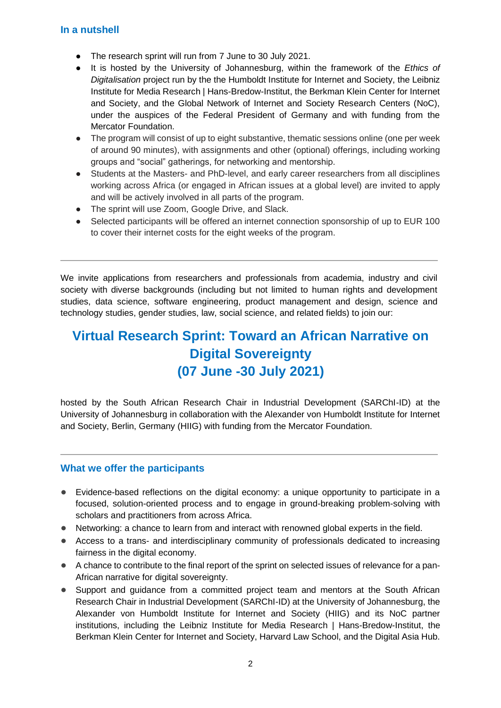#### **In a nutshell**

- The research sprint will run from 7 June to 30 July 2021.
- It is hosted by the University of Johannesburg, within the framework of the *Ethics of Digitalisation* project run by the the Humboldt Institute for Internet and Society, the Leibniz Institute for Media Research | Hans-Bredow-Institut, the Berkman Klein Center for Internet and Society, and the Global Network of Internet and Society Research Centers (NoC), under the auspices of the Federal President of Germany and with funding from the Mercator Foundation.
- The program will consist of up to eight substantive, thematic sessions online (one per week of around 90 minutes), with assignments and other (optional) offerings, including working groups and "social" gatherings, for networking and mentorship.
- Students at the Masters- and PhD-level, and early career researchers from all disciplines working across Africa (or engaged in African issues at a global level) are invited to apply and will be actively involved in all parts of the program.
- The sprint will use Zoom, Google Drive, and Slack.
- Selected participants will be offered an internet connection sponsorship of up to EUR 100 to cover their internet costs for the eight weeks of the program.

We invite applications from researchers and professionals from academia, industry and civil society with diverse backgrounds (including but not limited to human rights and development studies, data science, software engineering, product management and design, science and technology studies, gender studies, law, social science, and related fields) to join our:

## **Virtual Research Sprint: Toward an African Narrative on Digital Sovereignty (07 June -30 July 2021)**

hosted by the South African Research Chair in Industrial Development (SARChI-ID) at the University of Johannesburg in collaboration with the Alexander von Humboldt Institute for Internet and Society, Berlin, Germany (HIIG) with funding from the Mercator Foundation.

#### **What we offer the participants**

- Evidence-based reflections on the digital economy: a unique opportunity to participate in a focused, solution-oriented process and to engage in ground-breaking problem-solving with scholars and practitioners from across Africa.
- Networking: a chance to learn from and interact with renowned global experts in the field.
- Access to a trans- and interdisciplinary community of professionals dedicated to increasing fairness in the digital economy.
- A chance to contribute to the final report of the sprint on selected issues of relevance for a pan-African narrative for digital sovereignty.
- Support and guidance from a committed project team and mentors at the South African Research Chair in Industrial Development (SARChI-ID) at the University of Johannesburg, the Alexander von Humboldt Institute for Internet and Society (HIIG) and its NoC partner institutions, including the Leibniz Institute for Media Research | Hans-Bredow-Institut, the Berkman Klein Center for Internet and Society, Harvard Law School, and the Digital Asia Hub.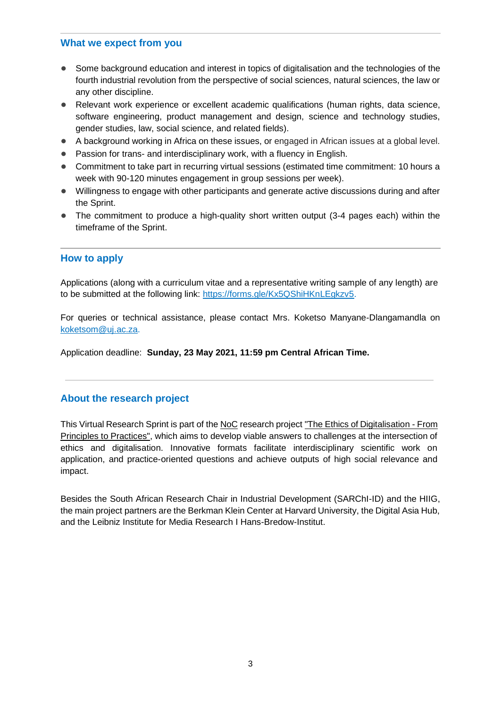#### **What we expect from you**

- Some background education and interest in topics of digitalisation and the technologies of the fourth industrial revolution from the perspective of social sciences, natural sciences, the law or any other discipline.
- Relevant work experience or excellent academic qualifications (human rights, data science, software engineering, product management and design, science and technology studies, gender studies, law, social science, and related fields).
- A background working in Africa on these issues, or engaged in African issues at a global level.
- Passion for trans- and interdisciplinary work, with a fluency in English.
- Commitment to take part in recurring virtual sessions (estimated time commitment: 10 hours a week with 90-120 minutes engagement in group sessions per week).
- Willingness to engage with other participants and generate active discussions during and after the Sprint.
- The commitment to produce a high-quality short written output (3-4 pages each) within the timeframe of the Sprint.

#### **How to apply**

Applications (along with a curriculum vitae and a representative writing sample of any length) are to be submitted at the following link: [https://forms.gle/Kx5QShiHKnLEgkzv5.](https://eur01.safelinks.protection.outlook.com/?url=https%3A%2F%2Fforms.gle%2FKx5QShiHKnLEgkzv5&data=04%7C01%7Cftregenna%40uj.ac.za%7C61c84716a8754c7fc71808d904224a31%7Cfa785acd36ef41bc8a9489841327e045%7C0%7C0%7C637545367641052794%7CUnknown%7CTWFpbGZsb3d8eyJWIjoiMC4wLjAwMDAiLCJQIjoiV2luMzIiLCJBTiI6Ik1haWwiLCJXVCI6Mn0%3D%7C1000&sdata=Zr5eiwdp60u4kj%2BH11XUIco%2FYMbP2v8EeEn%2FSTQTl8M%3D&reserved=0)

For queries or technical assistance, please contact Mrs. Koketso Manyane-Dlangamandla on [koketsom@uj.ac.za.](mailto:koketsom@uj.ac.za)

Application deadline: **Sunday, 23 May 2021, 11:59 pm Central African Time.**

#### **About the research project**

This Virtual Research Sprint is part of th[e NoC](http://networkofcenters.net/) research project ["The Ethics of Digitalisation -](https://www.hiig.de/en/project/the-ethics-of-digitalisation/) From [Principles to Practices",](https://www.hiig.de/en/project/the-ethics-of-digitalisation/) which aims to develop viable answers to challenges at the intersection of ethics and digitalisation. Innovative formats facilitate interdisciplinary scientific work on application, and practice-oriented questions and achieve outputs of high social relevance and impact.

Besides the South African Research Chair in Industrial Development (SARChI-ID) and the HIIG, the main project partners are the Berkman Klein Center at Harvard University, the Digital Asia Hub, and the Leibniz Institute for Media Research I Hans-Bredow-Institut.